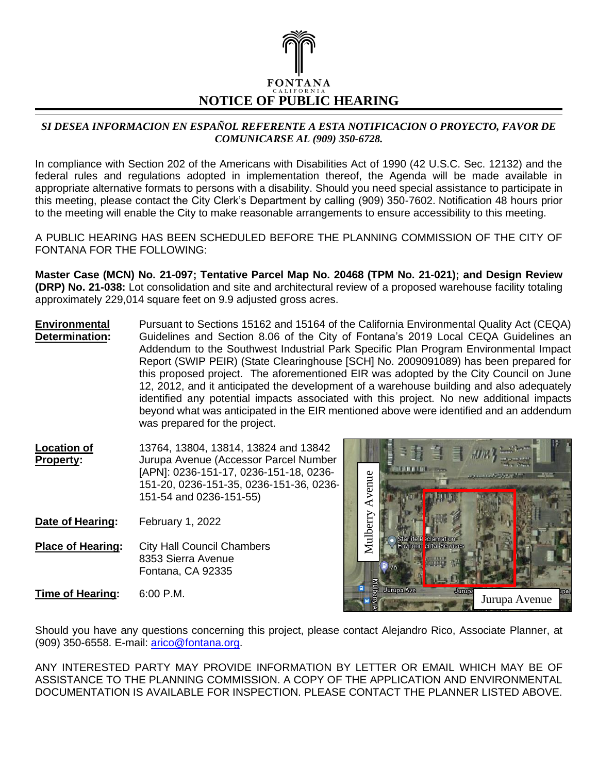

## *SI DESEA INFORMACION EN ESPAÑOL REFERENTE A ESTA NOTIFICACION O PROYECTO, FAVOR DE COMUNICARSE AL (909) 350-6728.*

In compliance with Section 202 of the Americans with Disabilities Act of 1990 (42 U.S.C. Sec. 12132) and the federal rules and regulations adopted in implementation thereof, the Agenda will be made available in appropriate alternative formats to persons with a disability. Should you need special assistance to participate in this meeting, please contact the City Clerk's Department by calling (909) 350-7602. Notification 48 hours prior to the meeting will enable the City to make reasonable arrangements to ensure accessibility to this meeting.

A PUBLIC HEARING HAS BEEN SCHEDULED BEFORE THE PLANNING COMMISSION OF THE CITY OF FONTANA FOR THE FOLLOWING:

**Master Case (MCN) No. 21-097; Tentative Parcel Map No. 20468 (TPM No. 21-021); and Design Review (DRP) No. 21-038:** Lot consolidation and site and architectural review of a proposed warehouse facility totaling approximately 229,014 square feet on 9.9 adjusted gross acres.

**Environmental Determination:** Pursuant to Sections 15162 and 15164 of the California Environmental Quality Act (CEQA) Guidelines and Section 8.06 of the City of Fontana's 2019 Local CEQA Guidelines an Addendum to the Southwest Industrial Park Specific Plan Program Environmental Impact Report (SWIP PEIR) (State Clearinghouse [SCH] No. 2009091089) has been prepared for this proposed project. The aforementioned EIR was adopted by the City Council on June 12, 2012, and it anticipated the development of a warehouse building and also adequately identified any potential impacts associated with this project. No new additional impacts beyond what was anticipated in the EIR mentioned above were identified and an addendum was prepared for the project.

**Location of Property:** 13764, 13804, 13814, 13824 and 13842 Jurupa Avenue (Accessor Parcel Number [APN]: 0236-151-17, 0236-151-18, 0236- 151-20, 0236-151-35, 0236-151-36, 0236- 151-54 and 0236-151-55)

- **Date of Hearing:** February 1, 2022
- **Place of Hearing:** City Hall Council Chambers 8353 Sierra Avenue Fontana, CA 92335

**Time of Hearing:** 6:00 P.M.



Should you have any questions concerning this project, please contact Alejandro Rico, Associate Planner, at (909) 350-6558. E-mail: [arico@fontana.org.](mailto:arico@fontana.org)

ANY INTERESTED PARTY MAY PROVIDE INFORMATION BY LETTER OR EMAIL WHICH MAY BE OF ASSISTANCE TO THE PLANNING COMMISSION. A COPY OF THE APPLICATION AND ENVIRONMENTAL